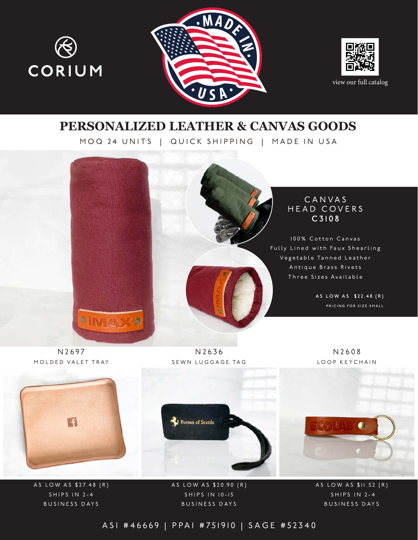





view our full catalog

## **PERSONALIZED LEATHER & CANVAS GOODS**

MOQ 24 UNITS | QUICK SHIPPING | MADE IN USA



N2697 MOLDED VALET TRAY

N2636 SEWN LUGGAGE TAG

N2608 LOOP KEYCHAIN



A S LOW A S \$ 27.48 (R) S H I P S I N 2-4 BUSINESS DAYS

A S L O W A S \$ 20.90 (R) S H I P S I N 10-15 BUSINESS DAYS

AS LOW AS \$11.52 (R) S H I P S I N 2-4 BUSINESS DAYS

ASI #46669 | PPAI #751910 | SAGE #52340